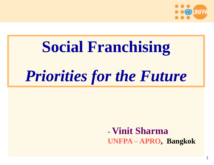

1

# **Social Franchising** *Priorities for the Future*

- **Vinit Sharma UNFPA – APRO, Bangkok**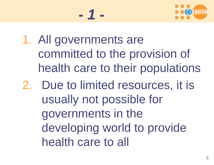

- 1. All governments are committed to the provision of health care to their populations
- 2. Due to limited resources, it is usually not possible for governments in the developing world to provide health care to all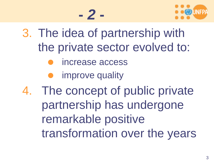



- 3. The idea of partnership with the private sector evolved to:
	- increase access
	- improve quality
- 4. The concept of public private partnership has undergone remarkable positive transformation over the years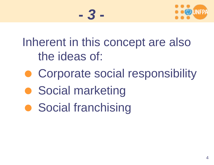

Inherent in this concept are also the ideas of:

- Corporate social responsibility
- **Social marketing**
- **Social franchising**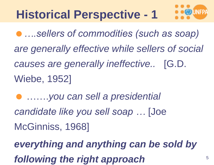### **Historical Perspective - 1**

*….sellers of commodities (such as soap) are generally effective while sellers of social causes are generally ineffective..* [G.D. Wiebe, 1952]

 …….*you can sell a presidential candidate like you sell soap …* [Joe McGinniss, 1968]

*everything and anything can be sold by following the right approach*  $5$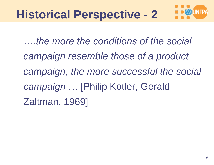

*….the more the conditions of the social campaign resemble those of a product campaign, the more successful the social campaign …* [Philip Kotler, Gerald Zaltman, 1969]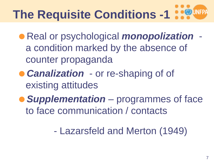# **The Requisite Conditions -1**

- Real or psychological *monopolization*  a condition marked by the absence of counter propaganda
- *Canalization*  or re-shaping of of existing attitudes
- *Supplementation*  programmes of face to face communication / contacts
	- Lazarsfeld and Merton (1949)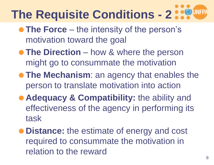### **The Requisite Conditions - 2**

- **The Force** the intensity of the person's motivation toward the goal
- **The Direction** how & where the person might go to consummate the motivation
- **The Mechanism:** an agency that enables the person to translate motivation into action
- **Adequacy & Compatibility: the ability and** effectiveness of the agency in performing its task
- **Distance:** the estimate of energy and cost required to consummate the motivation in relation to the reward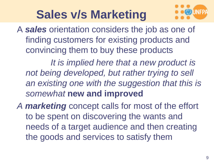### **Sales v/s Marketing**



A *sales* orientation considers the job as one of finding customers for existing products and convincing them to buy these products

*It is implied here that a new product is not being developed, but rather trying to sell an existing one with the suggestion that this is somewhat* **new and improved**

*A marketing* concept calls for most of the effort to be spent on discovering the wants and needs of a target audience and then creating the goods and services to satisfy them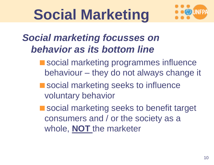# **Social Marketing**



#### *Social marketing focusses on behavior as its bottom line*

- **Social marketing programmes influence** behaviour – they do not always change it
- social marketing seeks to influence voluntary behavior

■ social marketing seeks to benefit target consumers and / or the society as a whole, **NOT** the marketer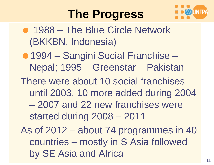#### **The Progress**



- 1988 The Blue Circle Network (BKKBN, Indonesia)
- 1994 Sangini Social Franchise Nepal; 1995 – Greenstar – Pakistan
- There were about 10 social franchises until 2003, 10 more added during 2004 – 2007 and 22 new franchises were started during 2008 – 2011
- As of 2012 about 74 programmes in 40 countries – mostly in S Asia followed by SE Asia and Africa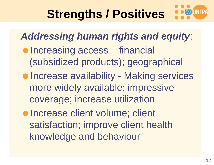### **Strengths / Positives**

*Addressing human rights and equity*: **• Increasing access** – financial (subsidized products); geographical **• Increase availability - Making services** more widely available; impressive coverage; increase utilization **• Increase client volume; client** satisfaction; improve client health knowledge and behaviour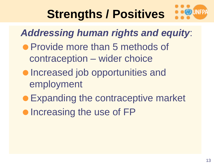### **Strengths / Positives**

*Addressing human rights and equity*:

- **Provide more than 5 methods of** contraception – wider choice
- **Increased job opportunities and** employment
- Expanding the contraceptive market
- Increasing the use of FP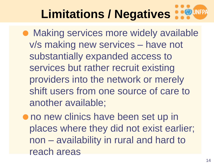Making services more widely available v/s making new services – have not substantially expanded access to services but rather recruit existing providers into the network or merely shift users from one source of care to another available;

 $\bullet$  no new clinics have been set up in places where they did not exist earlier; non – availability in rural and hard to reach areas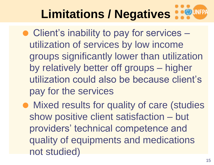- Client's inability to pay for services utilization of services by low income groups significantly lower than utilization by relatively better off groups – higher utilization could also be because client's pay for the services
- Mixed results for quality of care (studies show positive client satisfaction – but providers' technical competence and quality of equipments and medications not studied)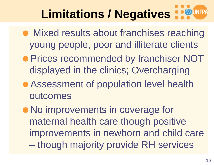- Mixed results about franchises reaching young people, poor and illiterate clients
- **Prices recommended by franchiser NOT** displayed in the clinics; Overcharging
- Assessment of population level health outcomes
- No improvements in coverage for maternal health care though positive improvements in newborn and child care – though majority provide RH services